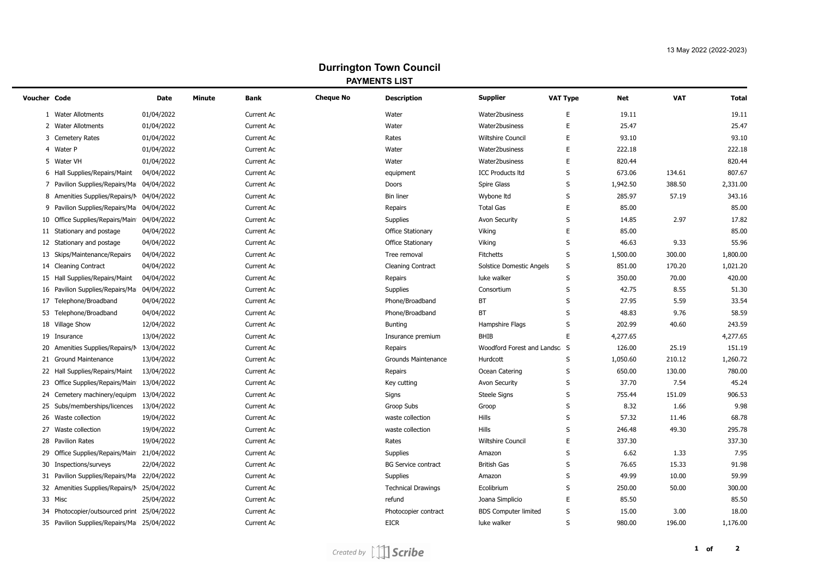## **Durrington Town Council PAYMENTS LIST**

 $\overline{\phantom{0}}$ 

| <b>Voucher Code</b> |                                            | <b>Date</b> | Minute | <b>Bank</b>       | <b>Cheque No</b> | <b>Description</b>         | <b>Supplier</b>                 | <b>VAT Type</b> | Net      | <b>VAT</b> | <b>Total</b> |
|---------------------|--------------------------------------------|-------------|--------|-------------------|------------------|----------------------------|---------------------------------|-----------------|----------|------------|--------------|
|                     | 1 Water Allotments                         | 01/04/2022  |        | Current Ac        |                  | Water                      | Water2business                  | E               | 19.11    |            | 19.11        |
|                     | 2 Water Allotments                         | 01/04/2022  |        | <b>Current Ac</b> |                  | Water                      | Water2business                  | Е               | 25.47    |            | 25.47        |
|                     | 3 Cemetery Rates                           | 01/04/2022  |        | Current Ac        |                  | Rates                      | <b>Wiltshire Council</b>        | Е               | 93.10    |            | 93.10        |
|                     | 4 Water P                                  | 01/04/2022  |        | Current Ac        |                  | Water                      | Water2business                  | Е               | 222.18   |            | 222.18       |
|                     | 5 Water VH                                 | 01/04/2022  |        | Current Ac        |                  | Water                      | Water2business                  | Е               | 820.44   |            | 820.44       |
|                     | 6 Hall Supplies/Repairs/Maint              | 04/04/2022  |        | Current Ac        |                  | equipment                  | <b>ICC Products Itd</b>         | S               | 673.06   | 134.61     | 807.67       |
|                     | 7 Pavilion Supplies/Repairs/Ma             | 04/04/2022  |        | Current Ac        |                  | Doors                      | <b>Spire Glass</b>              | S               | 1,942.50 | 388.50     | 2,331.00     |
|                     | 8 Amenities Supplies/Repairs/M             | 04/04/2022  |        | Current Ac        |                  | <b>Bin liner</b>           | Wybone Itd                      | S               | 285.97   | 57.19      | 343.16       |
| 9                   | Pavilion Supplies/Repairs/Ma               | 04/04/2022  |        | Current Ac        |                  | Repairs                    | <b>Total Gas</b>                | Е               | 85.00    |            | 85.00        |
| 10                  | Office Supplies/Repairs/Main               | 04/04/2022  |        | Current Ac        |                  | Supplies                   | <b>Avon Security</b>            | S               | 14.85    | 2.97       | 17.82        |
| 11                  | Stationary and postage                     | 04/04/2022  |        | Current Ac        |                  | <b>Office Stationary</b>   | Viking                          | Ε               | 85.00    |            | 85.00        |
| 12                  | Stationary and postage                     | 04/04/2022  |        | Current Ac        |                  | <b>Office Stationary</b>   | Viking                          | S               | 46.63    | 9.33       | 55.96        |
| 13                  | Skips/Maintenance/Repairs                  | 04/04/2022  |        | Current Ac        |                  | Tree removal               | <b>Fitchetts</b>                | S               | 1,500.00 | 300.00     | 1,800.00     |
|                     | 14 Cleaning Contract                       | 04/04/2022  |        | Current Ac        |                  | <b>Cleaning Contract</b>   | <b>Solstice Domestic Angels</b> | S               | 851.00   | 170.20     | 1,021.20     |
|                     | 15 Hall Supplies/Repairs/Maint             | 04/04/2022  |        | Current Ac        |                  | Repairs                    | luke walker                     | S               | 350.00   | 70.00      | 420.00       |
|                     | 16 Pavilion Supplies/Repairs/Ma            | 04/04/2022  |        | Current Ac        |                  | Supplies                   | Consortium                      | S               | 42.75    | 8.55       | 51.30        |
|                     | 17 Telephone/Broadband                     | 04/04/2022  |        | Current Ac        |                  | Phone/Broadband            | BT                              | S               | 27.95    | 5.59       | 33.54        |
|                     | 53 Telephone/Broadband                     | 04/04/2022  |        | Current Ac        |                  | Phone/Broadband            | <b>BT</b>                       | S               | 48.83    | 9.76       | 58.59        |
|                     | 18 Village Show                            | 12/04/2022  |        | Current Ac        |                  | <b>Bunting</b>             | Hampshire Flags                 | S               | 202.99   | 40.60      | 243.59       |
|                     | 19 Insurance                               | 13/04/2022  |        | <b>Current Ac</b> |                  | Insurance premium          | <b>BHIB</b>                     | E               | 4,277.65 |            | 4,277.65     |
|                     | 20 Amenities Supplies/Repairs/N            | 13/04/2022  |        | Current Ac        |                  | Repairs                    | Woodford Forest and Landsc S    |                 | 126.00   | 25.19      | 151.19       |
|                     | 21 Ground Maintenance                      | 13/04/2022  |        | <b>Current Ac</b> |                  | Grounds Maintenance        | Hurdcott                        | S               | 1,050.60 | 210.12     | 1,260.72     |
|                     | 22 Hall Supplies/Repairs/Maint             | 13/04/2022  |        | Current Ac        |                  | Repairs                    | Ocean Catering                  | S               | 650.00   | 130.00     | 780.00       |
| 23                  | Office Supplies/Repairs/Main               | 13/04/2022  |        | Current Ac        |                  | Key cutting                | <b>Avon Security</b>            | S               | 37.70    | 7.54       | 45.24        |
| 24                  | Cemetery machinery/equipm                  | 13/04/2022  |        | Current Ac        |                  | Signs                      | <b>Steele Signs</b>             | S               | 755.44   | 151.09     | 906.53       |
| 25                  | Subs/memberships/licences                  | 13/04/2022  |        | Current Ac        |                  | Groop Subs                 | Groop                           | S               | 8.32     | 1.66       | 9.98         |
|                     | 26 Waste collection                        | 19/04/2022  |        | <b>Current Ac</b> |                  | waste collection           | Hills                           | S               | 57.32    | 11.46      | 68.78        |
| 27                  | Waste collection                           | 19/04/2022  |        | Current Ac        |                  | waste collection           | Hills                           | S               | 246.48   | 49.30      | 295.78       |
|                     | 28 Pavilion Rates                          | 19/04/2022  |        | Current Ac        |                  | Rates                      | <b>Wiltshire Council</b>        | Е               | 337.30   |            | 337.30       |
| 29                  | Office Supplies/Repairs/Main               | 21/04/2022  |        | Current Ac        |                  | Supplies                   | Amazon                          | S               | 6.62     | 1.33       | 7.95         |
|                     | 30 Inspections/surveys                     | 22/04/2022  |        | Current Ac        |                  | <b>BG Service contract</b> | <b>British Gas</b>              | S               | 76.65    | 15.33      | 91.98        |
|                     | 31 Pavilion Supplies/Repairs/Ma            | 22/04/2022  |        | Current Ac        |                  | Supplies                   | Amazon                          | S               | 49.99    | 10.00      | 59.99        |
|                     | 32 Amenities Supplies/Repairs/M            | 25/04/2022  |        | Current Ac        |                  | <b>Technical Drawings</b>  | Ecolibrium                      | S               | 250.00   | 50.00      | 300.00       |
|                     | 33 Misc                                    | 25/04/2022  |        | Current Ac        |                  | refund                     | Joana Simplicio                 | Е               | 85.50    |            | 85.50        |
| 34                  | Photocopier/outsourced print               | 25/04/2022  |        | Current Ac        |                  | Photocopier contract       | <b>BDS Computer limited</b>     | S               | 15.00    | 3.00       | 18.00        |
|                     | 35 Pavilion Supplies/Repairs/Ma 25/04/2022 |             |        | <b>Current Ac</b> |                  | <b>EICR</b>                | luke walker                     | S               | 980.00   | 196.00     | 1,176.00     |